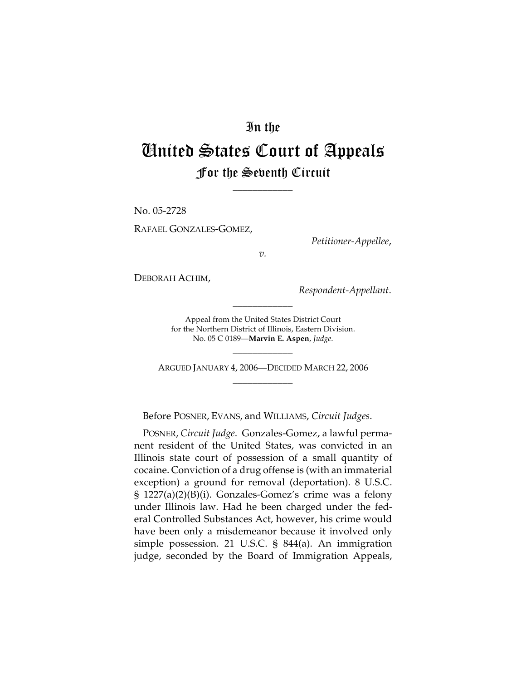## In the United States Court of Appeals For the Seventh Circuit

\_\_\_\_\_\_\_\_\_\_\_\_

No. 05-2728

RAFAEL GONZALES-GOMEZ,

*Petitioner-Appellee*,

*v.*

DEBORAH ACHIM,

*Respondent-Appellant*.

Appeal from the United States District Court for the Northern District of Illinois, Eastern Division. No. 05 C 0189—**Marvin E. Aspen**, *Judge*.

\_\_\_\_\_\_\_\_\_\_\_\_

ARGUED JANUARY 4, 2006—DECIDED MARCH 22, 2006 \_\_\_\_\_\_\_\_\_\_\_\_

\_\_\_\_\_\_\_\_\_\_\_\_

Before POSNER, EVANS, and WILLIAMS, *Circuit Judges*.

POSNER, *Circuit Judge*. Gonzales-Gomez, a lawful permanent resident of the United States, was convicted in an Illinois state court of possession of a small quantity of cocaine. Conviction of a drug offense is (with an immaterial exception) a ground for removal (deportation). 8 U.S.C. § 1227(a)(2)(B)(i). Gonzales-Gomez's crime was a felony under Illinois law. Had he been charged under the federal Controlled Substances Act, however, his crime would have been only a misdemeanor because it involved only simple possession. 21 U.S.C. § 844(a). An immigration judge, seconded by the Board of Immigration Appeals,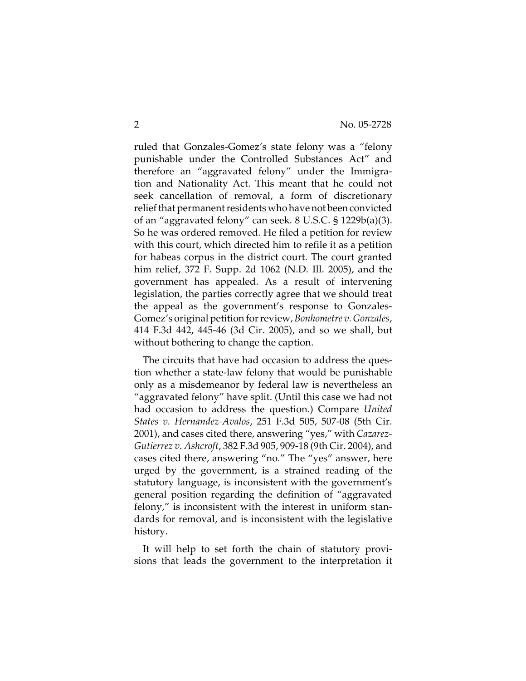ruled that Gonzales-Gomez's state felony was a "felony punishable under the Controlled Substances Act" and therefore an "aggravated felony" under the Immigration and Nationality Act. This meant that he could not seek cancellation of removal, a form of discretionary relief that permanent residents who have not been convicted of an "aggravated felony" can seek. 8 U.S.C. § 1229b(a)(3). So he was ordered removed. He filed a petition for review with this court, which directed him to refile it as a petition for habeas corpus in the district court. The court granted him relief, 372 F. Supp. 2d 1062 (N.D. Ill. 2005), and the government has appealed. As a result of intervening legislation, the parties correctly agree that we should treat the appeal as the government's response to Gonzales-Gomez's original petition for review, *Bonhometre v. Gonzales*, 414 F.3d 442, 445-46 (3d Cir. 2005), and so we shall, but without bothering to change the caption.

The circuits that have had occasion to address the question whether a state-law felony that would be punishable only as a misdemeanor by federal law is nevertheless an "aggravated felony" have split. (Until this case we had not had occasion to address the question.) Compare *United States v. Hernandez-Avalos*, 251 F.3d 505, 507-08 (5th Cir. 2001), and cases cited there, answering "yes," with *Cazarez-Gutierrez v. Ashcroft*, 382 F.3d 905, 909-18 (9th Cir. 2004), and cases cited there, answering "no." The "yes" answer, here urged by the government, is a strained reading of the statutory language, is inconsistent with the government's general position regarding the definition of "aggravated felony," is inconsistent with the interest in uniform standards for removal, and is inconsistent with the legislative history.

It will help to set forth the chain of statutory provisions that leads the government to the interpretation it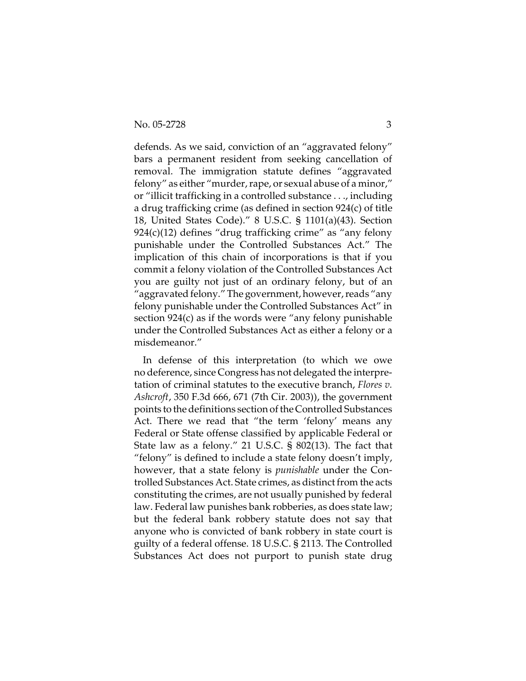defends. As we said, conviction of an "aggravated felony" bars a permanent resident from seeking cancellation of removal. The immigration statute defines "aggravated felony" as either "murder, rape, or sexual abuse of a minor," or "illicit trafficking in a controlled substance . . ., including a drug trafficking crime (as defined in section 924(c) of title 18, United States Code)." 8 U.S.C. § 1101(a)(43). Section  $924(c)(12)$  defines "drug trafficking crime" as "any felony punishable under the Controlled Substances Act." The implication of this chain of incorporations is that if you commit a felony violation of the Controlled Substances Act you are guilty not just of an ordinary felony, but of an "aggravated felony." The government, however, reads "any felony punishable under the Controlled Substances Act" in section 924(c) as if the words were "any felony punishable under the Controlled Substances Act as either a felony or a misdemeanor."

In defense of this interpretation (to which we owe no deference, since Congress has not delegated the interpretation of criminal statutes to the executive branch, *Flores v. Ashcroft*, 350 F.3d 666, 671 (7th Cir. 2003)), the government points to the definitions section of the Controlled Substances Act. There we read that "the term 'felony' means any Federal or State offense classified by applicable Federal or State law as a felony." 21 U.S.C. § 802(13). The fact that "felony" is defined to include a state felony doesn't imply, however, that a state felony is *punishable* under the Controlled Substances Act. State crimes, as distinct from the acts constituting the crimes, are not usually punished by federal law. Federal law punishes bank robberies, as does state law; but the federal bank robbery statute does not say that anyone who is convicted of bank robbery in state court is guilty of a federal offense. 18 U.S.C. § 2113. The Controlled Substances Act does not purport to punish state drug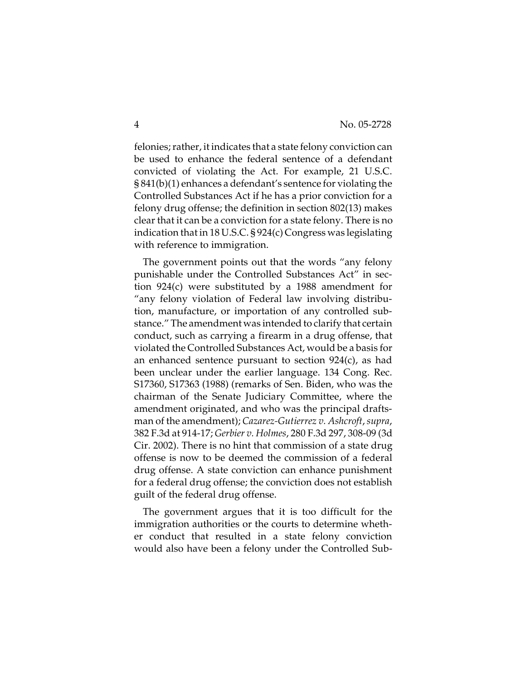felonies; rather, it indicates that a state felony conviction can be used to enhance the federal sentence of a defendant convicted of violating the Act. For example, 21 U.S.C. § 841(b)(1) enhances a defendant's sentence for violating the Controlled Substances Act if he has a prior conviction for a felony drug offense; the definition in section 802(13) makes clear that it can be a conviction for a state felony. There is no indication that in 18 U.S.C. § 924(c) Congress was legislating with reference to immigration.

The government points out that the words "any felony punishable under the Controlled Substances Act" in section 924(c) were substituted by a 1988 amendment for "any felony violation of Federal law involving distribution, manufacture, or importation of any controlled substance." The amendment was intended to clarify that certain conduct, such as carrying a firearm in a drug offense, that violated the Controlled Substances Act, would be a basis for an enhanced sentence pursuant to section 924(c), as had been unclear under the earlier language. 134 Cong. Rec. S17360, S17363 (1988) (remarks of Sen. Biden, who was the chairman of the Senate Judiciary Committee, where the amendment originated, and who was the principal draftsman of the amendment); *Cazarez-Gutierrez v. Ashcroft*, *supra*, 382 F.3d at 914-17; *Gerbier v. Holmes*, 280 F.3d 297, 308-09 (3d Cir. 2002). There is no hint that commission of a state drug offense is now to be deemed the commission of a federal drug offense. A state conviction can enhance punishment for a federal drug offense; the conviction does not establish guilt of the federal drug offense.

The government argues that it is too difficult for the immigration authorities or the courts to determine whether conduct that resulted in a state felony conviction would also have been a felony under the Controlled Sub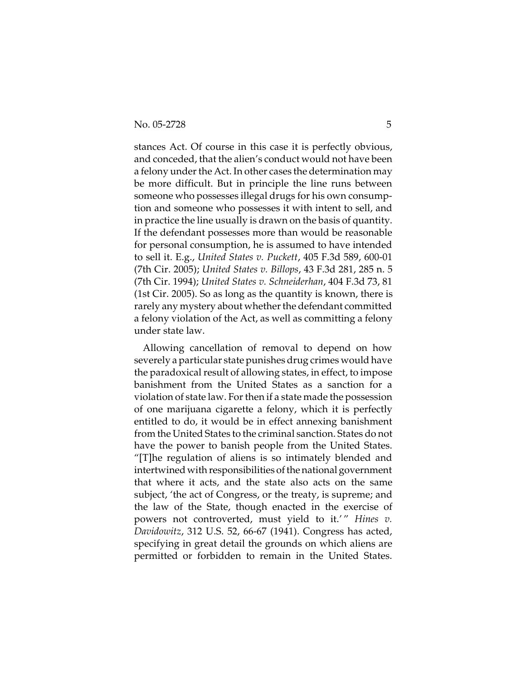stances Act. Of course in this case it is perfectly obvious, and conceded, that the alien's conduct would not have been a felony under the Act. In other cases the determination may be more difficult. But in principle the line runs between someone who possesses illegal drugs for his own consumption and someone who possesses it with intent to sell, and in practice the line usually is drawn on the basis of quantity. If the defendant possesses more than would be reasonable for personal consumption, he is assumed to have intended to sell it. E.g., *United States v. Puckett*, 405 F.3d 589, 600-01 (7th Cir. 2005); *United States v. Billops*, 43 F.3d 281, 285 n. 5 (7th Cir. 1994); *United States v. Schneiderhan*, 404 F.3d 73, 81 (1st Cir. 2005). So as long as the quantity is known, there is rarely any mystery about whether the defendant committed a felony violation of the Act, as well as committing a felony under state law.

Allowing cancellation of removal to depend on how severely a particular state punishes drug crimes would have the paradoxical result of allowing states, in effect, to impose banishment from the United States as a sanction for a violation of state law. For then if a state made the possession of one marijuana cigarette a felony, which it is perfectly entitled to do, it would be in effect annexing banishment from the United States to the criminal sanction. States do not have the power to banish people from the United States. "[T]he regulation of aliens is so intimately blended and intertwined with responsibilities of the national government that where it acts, and the state also acts on the same subject, 'the act of Congress, or the treaty, is supreme; and the law of the State, though enacted in the exercise of powers not controverted, must yield to it.'" *Hines v*. *Davidowitz*, 312 U.S. 52, 66-67 (1941). Congress has acted, specifying in great detail the grounds on which aliens are permitted or forbidden to remain in the United States.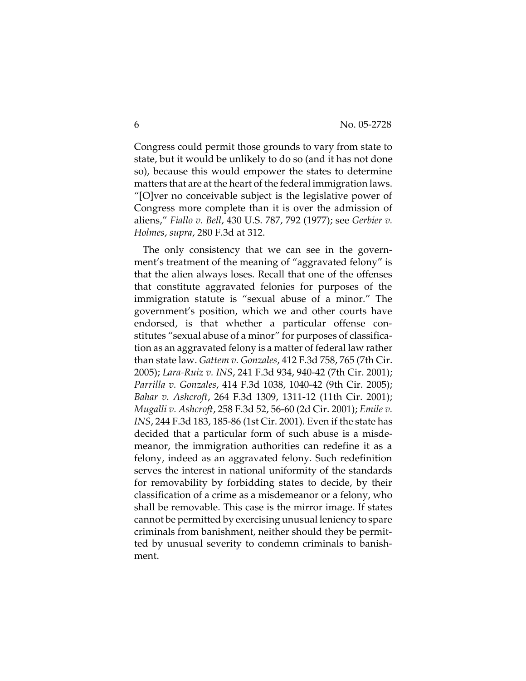Congress could permit those grounds to vary from state to state, but it would be unlikely to do so (and it has not done so), because this would empower the states to determine matters that are at the heart of the federal immigration laws. "[O]ver no conceivable subject is the legislative power of Congress more complete than it is over the admission of aliens," *Fiallo v. Bell*, 430 U.S. 787, 792 (1977); see *Gerbier v. Holmes*, *supra*, 280 F.3d at 312.

The only consistency that we can see in the government's treatment of the meaning of "aggravated felony" is that the alien always loses. Recall that one of the offenses that constitute aggravated felonies for purposes of the immigration statute is "sexual abuse of a minor." The government's position, which we and other courts have endorsed, is that whether a particular offense constitutes "sexual abuse of a minor" for purposes of classification as an aggravated felony is a matter of federal law rather than state law. *Gattem v. Gonzales*, 412 F.3d 758, 765 (7th Cir. 2005); *Lara-Ruiz v. INS*, 241 F.3d 934, 940-42 (7th Cir. 2001); *Parrilla v. Gonzales*, 414 F.3d 1038, 1040-42 (9th Cir. 2005); *Bahar v. Ashcroft*, 264 F.3d 1309, 1311-12 (11th Cir. 2001); *Mugalli v. Ashcroft*, 258 F.3d 52, 56-60 (2d Cir. 2001); *Emile v. INS*, 244 F.3d 183, 185-86 (1st Cir. 2001). Even if the state has decided that a particular form of such abuse is a misdemeanor, the immigration authorities can redefine it as a felony, indeed as an aggravated felony. Such redefinition serves the interest in national uniformity of the standards for removability by forbidding states to decide, by their classification of a crime as a misdemeanor or a felony, who shall be removable. This case is the mirror image. If states cannot be permitted by exercising unusual leniency to spare criminals from banishment, neither should they be permitted by unusual severity to condemn criminals to banishment.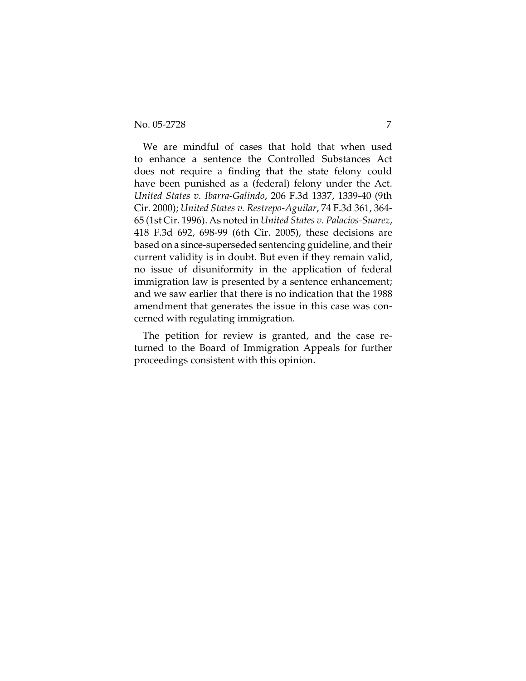We are mindful of cases that hold that when used to enhance a sentence the Controlled Substances Act does not require a finding that the state felony could have been punished as a (federal) felony under the Act. *United States v. Ibarra-Galindo*, 206 F.3d 1337, 1339-40 (9th Cir. 2000); *United States v. Restrepo-Aguilar*, 74 F.3d 361, 364- 65 (1st Cir. 1996). As noted in *United States v. Palacios-Suarez*, 418 F.3d 692, 698-99 (6th Cir. 2005), these decisions are based on a since-superseded sentencing guideline, and their current validity is in doubt. But even if they remain valid, no issue of disuniformity in the application of federal immigration law is presented by a sentence enhancement; and we saw earlier that there is no indication that the 1988 amendment that generates the issue in this case was concerned with regulating immigration.

The petition for review is granted, and the case returned to the Board of Immigration Appeals for further proceedings consistent with this opinion.